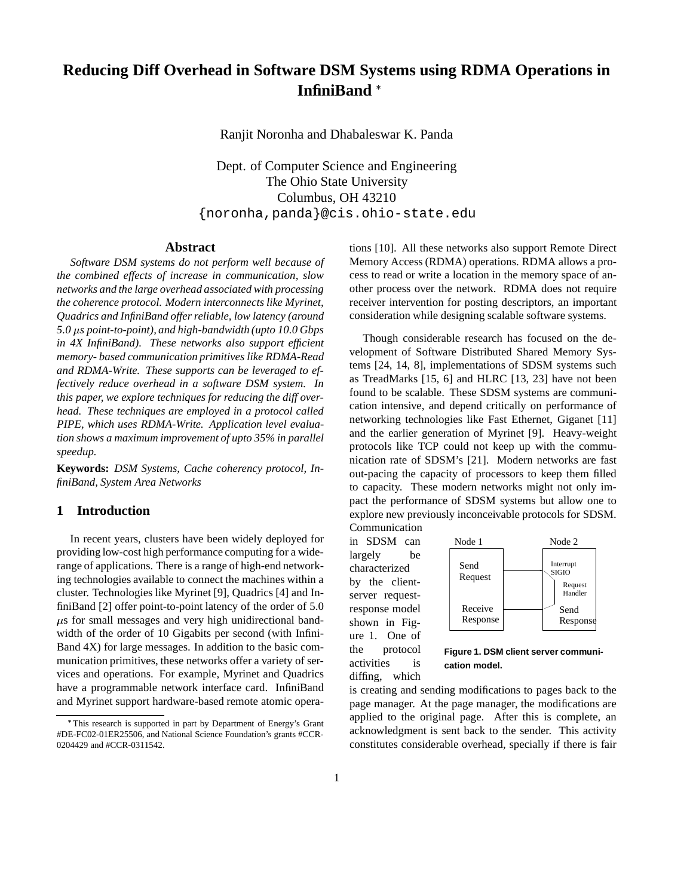# **Reducing Diff Overhead in Software DSM Systems using RDMA Operations in InfiniBand**

Ranjit Noronha and Dhabaleswar K. Panda

Dept. of Computer Science and Engineering The Ohio State University Columbus, OH 43210 {noronha,panda}@cis.ohio-state.edu

## **Abstract**

*Software DSM systems do not perform well because of the combined effects of increase in communication, slow networks and the large overhead associated with processing the coherence protocol. Modern interconnects like Myrinet, Quadrics and InfiniBand offer reliable, low latency (around 5.0 s point-to-point), and high-bandwidth (upto 10.0 Gbps in 4X InfiniBand). These networks also support efficient memory- based communication primitives like RDMA-Read and RDMA-Write. These supports can be leveraged to effectively reduce overhead in a software DSM system. In this paper, we explore techniques for reducing the diff overhead. These techniques are employed in a protocol called PIPE, which uses RDMA-Write. Application level evaluation shows a maximum improvement of upto 35% in parallel speedup.*

**Keywords:** *DSM Systems, Cache coherency protocol, InfiniBand, System Area Networks*

## **1 Introduction**

In recent years, clusters have been widely deployed for providing low-cost high performance computing for a widerange of applications. There is a range of high-end networking technologies available to connect the machines within a cluster. Technologies like Myrinet [9], Quadrics [4] and InfiniBand [2] offer point-to-point latency of the order of 5.0  $\mu$ s for small messages and very high unidirectional bandwidth of the order of 10 Gigabits per second (with Infini-Band 4X) for large messages. In addition to the basic communication primitives, these networks offer a variety of services and operations. For example, Myrinet and Quadrics have a programmable network interface card. InfiniBand and Myrinet support hardware-based remote atomic operations [10]. All these networks also support Remote Direct Memory Access (RDMA) operations. RDMA allows a process to read or write a location in the memory space of another process over the network. RDMA does not require receiver intervention for posting descriptors, an important consideration while designing scalable software systems.

Though considerable research has focused on the development of Software Distributed Shared Memory Systems [24, 14, 8], implementations of SDSM systems such as TreadMarks [15, 6] and HLRC [13, 23] have not been found to be scalable. These SDSM systems are communication intensive, and depend critically on performance of networking technologies like Fast Ethernet, Giganet [11] and the earlier generation of Myrinet [9]. Heavy-weight protocols like TCP could not keep up with the communication rate of SDSM's [21]. Modern networks are fast out-pacing the capacity of processors to keep them filled to capacity. These modern networks might not only impact the performance of SDSM systems but allow one to explore new previously inconceivable protocols for SDSM. Communication

in SDSM can largely be characterized by the clientserver requestresponse model shown in Figure 1. One of the protocol activities is diffing, which



**Figure 1. DSM client server communication model.**

is creating and sending modifications to pages back to the page manager. At the page manager, the modifications are applied to the original page. After this is complete, an acknowledgment is sent back to the sender. This activity constitutes considerable overhead, specially if there is fair

This research is supported in part by Department of Energy's Grant #DE-FC02-01ER25506, and National Science Foundation's grants #CCR-0204429 and #CCR-0311542.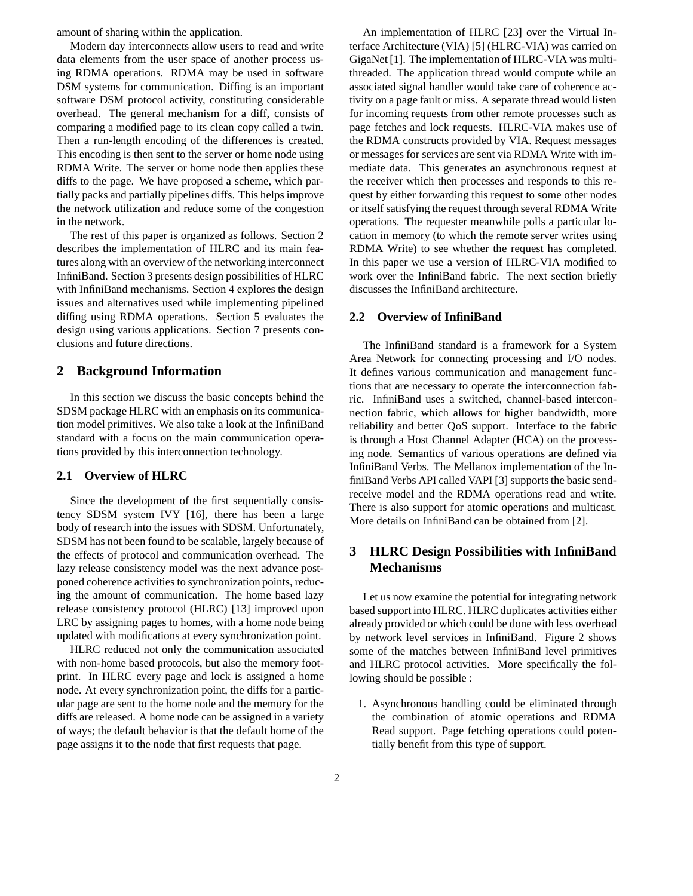amount of sharing within the application.

Modern day interconnects allow users to read and write data elements from the user space of another process using RDMA operations. RDMA may be used in software DSM systems for communication. Diffing is an important software DSM protocol activity, constituting considerable overhead. The general mechanism for a diff, consists of comparing a modified page to its clean copy called a twin. Then a run-length encoding of the differences is created. This encoding is then sent to the server or home node using RDMA Write. The server or home node then applies these diffs to the page. We have proposed a scheme, which partially packs and partially pipelines diffs. This helps improve the network utilization and reduce some of the congestion in the network.

The rest of this paper is organized as follows. Section 2 describes the implementation of HLRC and its main features along with an overview of the networking interconnect InfiniBand. Section 3 presents design possibilities of HLRC with InfiniBand mechanisms. Section 4 explores the design issues and alternatives used while implementing pipelined diffing using RDMA operations. Section 5 evaluates the design using various applications. Section 7 presents conclusions and future directions.

# **2 Background Information**

In this section we discuss the basic concepts behind the SDSM package HLRC with an emphasis on its communication model primitives. We also take a look at the InfiniBand standard with a focus on the main communication operations provided by this interconnection technology.

# **2.1 Overview of HLRC**

Since the development of the first sequentially consistency SDSM system IVY [16], there has been a large body of research into the issues with SDSM. Unfortunately, SDSM has not been found to be scalable, largely because of the effects of protocol and communication overhead. The lazy release consistency model was the next advance postponed coherence activities to synchronization points, reducing the amount of communication. The home based lazy release consistency protocol (HLRC) [13] improved upon LRC by assigning pages to homes, with a home node being updated with modifications at every synchronization point.

HLRC reduced not only the communication associated with non-home based protocols, but also the memory footprint. In HLRC every page and lock is assigned a home node. At every synchronization point, the diffs for a particular page are sent to the home node and the memory for the diffs are released. A home node can be assigned in a variety of ways; the default behavior is that the default home of the page assigns it to the node that first requests that page.

An implementation of HLRC [23] over the Virtual Interface Architecture (VIA) [5] (HLRC-VIA) was carried on GigaNet [1]. The implementation of HLRC-VIA was multithreaded. The application thread would compute while an associated signal handler would take care of coherence activity on a page fault or miss. A separate thread would listen for incoming requests from other remote processes such as page fetches and lock requests. HLRC-VIA makes use of the RDMA constructs provided by VIA. Request messages or messages for services are sent via RDMA Write with immediate data. This generates an asynchronous request at the receiver which then processes and responds to this request by either forwarding this request to some other nodes or itself satisfying the request through several RDMA Write operations. The requester meanwhile polls a particular location in memory (to which the remote server writes using RDMA Write) to see whether the request has completed. In this paper we use a version of HLRC-VIA modified to work over the InfiniBand fabric. The next section briefly discusses the InfiniBand architecture.

## **2.2 Overview of InfiniBand**

The InfiniBand standard is a framework for a System Area Network for connecting processing and I/O nodes. It defines various communication and management functions that are necessary to operate the interconnection fabric. InfiniBand uses a switched, channel-based interconnection fabric, which allows for higher bandwidth, more reliability and better QoS support. Interface to the fabric is through a Host Channel Adapter (HCA) on the processing node. Semantics of various operations are defined via InfiniBand Verbs. The Mellanox implementation of the InfiniBand Verbs API called VAPI [3] supports the basic sendreceive model and the RDMA operations read and write. There is also support for atomic operations and multicast. More details on InfiniBand can be obtained from [2].

# **3 HLRC Design Possibilities with InfiniBand Mechanisms**

Let us now examine the potential for integrating network based support into HLRC. HLRC duplicates activities either already provided or which could be done with less overhead by network level services in InfiniBand. Figure 2 shows some of the matches between InfiniBand level primitives and HLRC protocol activities. More specifically the following should be possible :

1. Asynchronous handling could be eliminated through the combination of atomic operations and RDMA Read support. Page fetching operations could potentially benefit from this type of support.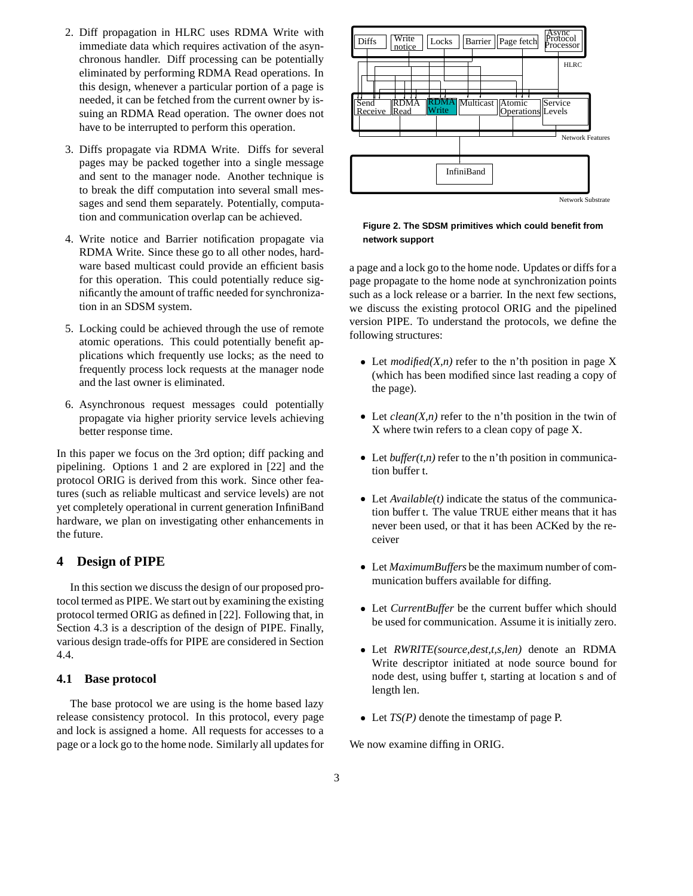- 2. Diff propagation in HLRC uses RDMA Write with immediate data which requires activation of the asynchronous handler. Diff processing can be potentially eliminated by performing RDMA Read operations. In this design, whenever a particular portion of a page is needed, it can be fetched from the current owner by issuing an RDMA Read operation. The owner does not have to be interrupted to perform this operation.
- 3. Diffs propagate via RDMA Write. Diffs for several pages may be packed together into a single message and sent to the manager node. Another technique is to break the diff computation into several small messages and send them separately. Potentially, computation and communication overlap can be achieved.
- 4. Write notice and Barrier notification propagate via RDMA Write. Since these go to all other nodes, hardware based multicast could provide an efficient basis for this operation. This could potentially reduce significantly the amount of traffic needed for synchronization in an SDSM system.
- 5. Locking could be achieved through the use of remote atomic operations. This could potentially benefit applications which frequently use locks; as the need to frequently process lock requests at the manager node and the last owner is eliminated.
- 6. Asynchronous request messages could potentially propagate via higher priority service levels achieving better response time.

In this paper we focus on the 3rd option; diff packing and pipelining. Options 1 and 2 are explored in [22] and the protocol ORIG is derived from this work. Since other features (such as reliable multicast and service levels) are not yet completely operational in current generation InfiniBand hardware, we plan on investigating other enhancements in the future.

## **4 Design of PIPE**

In this section we discuss the design of our proposed protocol termed as PIPE. We start out by examining the existing protocol termed ORIG as defined in [22]. Following that, in Section 4.3 is a description of the design of PIPE. Finally, various design trade-offs for PIPE are considered in Section 4.4.

## **4.1 Base protocol**

The base protocol we are using is the home based lazy release consistency protocol. In this protocol, every page and lock is assigned a home. All requests for accesses to a page or a lock go to the home node. Similarly all updatesfor



#### **Figure 2. The SDSM primitives which could benefit from network support**

a page and a lock go to the home node. Updates or diffs for a page propagate to the home node at synchronization points such as a lock release or a barrier. In the next few sections, we discuss the existing protocol ORIG and the pipelined version PIPE. To understand the protocols, we define the following structures:

- Elet  $modified(X, n)$  refer to the n'th position in page X (which has been modified since last reading a copy of the page).
- Let  $clean(X, n)$  refer to the n'th position in the twin of X where twin refers to a clean copy of page X.
- Elet *buffer(t,n)* refer to the n'th position in communication buffer t.
- Let *Available(t)* indicate the status of the communication buffer t. The value TRUE either means that it has never been used, or that it has been ACKed by the receiver
- Let *MaximumBuffers* be the maximum number of communication buffers available for diffing.
- Let *CurrentBuffer* be the current buffer which should be used for communication. Assume it is initially zero.
- Let *RWRITE(source,dest,t,s,len)* denote an RDMA Write descriptor initiated at node source bound for node dest, using buffer t, starting at location s and of length len.
- Let *TS(P)* denote the timestamp of page P.

We now examine diffing in ORIG.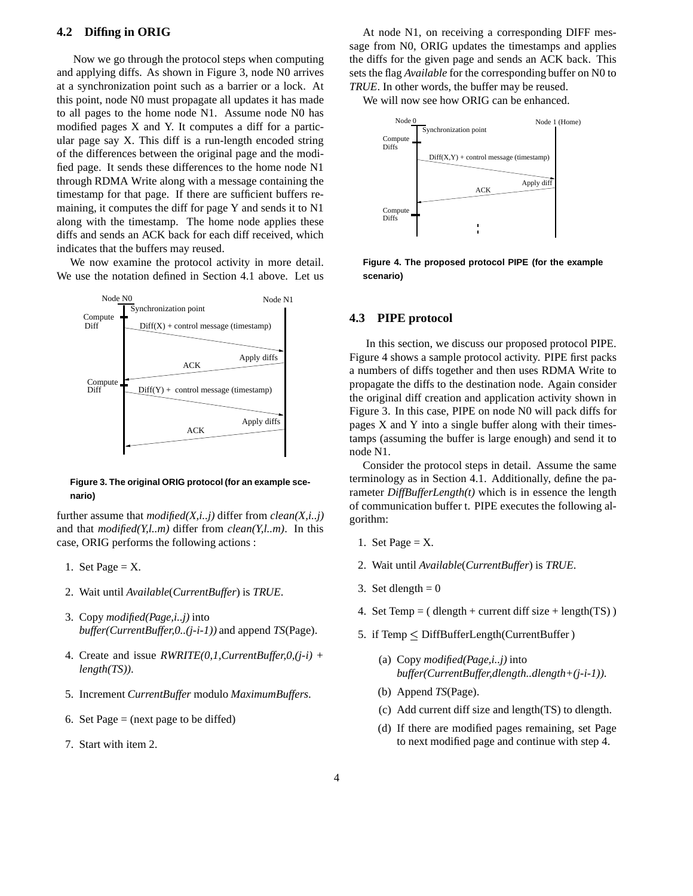## **4.2 Diffing in ORIG**

Now we go through the protocol steps when computing and applying diffs. As shown in Figure 3, node N0 arrives at a synchronization point such as a barrier or a lock. At this point, node N0 must propagate all updates it has made to all pages to the home node N1. Assume node N0 has modified pages X and Y. It computes a diff for a particular page say X. This diff is a run-length encoded string of the differences between the original page and the modified page. It sends these differences to the home node N1 through RDMA Write along with a message containing the timestamp for that page. If there are sufficient buffers remaining, it computes the diff for page Y and sends it to N1 along with the timestamp. The home node applies these diffs and sends an ACK back for each diff received, which indicates that the buffers may reused.

We now examine the protocol activity in more detail. We use the notation defined in Section 4.1 above. Let us



#### **Figure 3. The original ORIG protocol (for an example scenario)**

further assume that *modified(X,i..j)* differ from *clean(X,i..j)* and that *modified(Y,l..m)* differ from *clean(Y,l..m)*. In this case, ORIG performs the following actions :

- 1. Set Page  $=X$ .
- 2. Wait until *Available*(*CurrentBuffer*) is *TRUE*.
- 3. Copy *modified(Page,i..j)* into *buffer(CurrentBuffer,0..(j-i-1))* and append *TS*(Page).
- 4. Create and issue *RWRITE(0,1,CurrentBuffer,0,(j-i) + length(TS))*.
- 5. Increment *CurrentBuffer* modulo *MaximumBuffers*.
- 6. Set Page  $=$  (next page to be diffed)
- 7. Start with item 2.

At node N1, on receiving a corresponding DIFF message from N0, ORIG updates the timestamps and applies the diffs for the given page and sends an ACK back. This sets the flag *Available* for the corresponding buffer on N0 to *TRUE*. In other words, the buffer may be reused.

We will now see how ORIG can be enhanced.



**Figure 4. The proposed protocol PIPE (for the example scenario)**

#### **4.3 PIPE protocol**

In this section, we discuss our proposed protocol PIPE. Figure 4 shows a sample protocol activity. PIPE first packs a numbers of diffs together and then uses RDMA Write to propagate the diffs to the destination node. Again consider the original diff creation and application activity shown in Figure 3. In this case, PIPE on node N0 will pack diffs for pages X and Y into a single buffer along with their timestamps (assuming the buffer is large enough) and send it to node N1.

Consider the protocol steps in detail. Assume the same terminology as in Section 4.1. Additionally, define the parameter *DiffBufferLength(t)* which is in essence the length of communication buffer t. PIPE executes the following algorithm:

- 1. Set Page  $=X$ .
- 2. Wait until *Available*(*CurrentBuffer*) is *TRUE*.
- 3. Set dlength  $= 0$
- 4. Set Temp = ( $d$ length + current diff size + length(TS))
- 5. if Temp DiffBufferLength(CurrentBuffer )
	- (a) Copy *modified(Page,i..j)* into *buffer(CurrentBuffer,dlength..dlength+(j-i-1))*.
	- (b) Append *TS*(Page).
	- (c) Add current diff size and length(TS) to dlength.
	- (d) If there are modified pages remaining, set Page to next modified page and continue with step 4.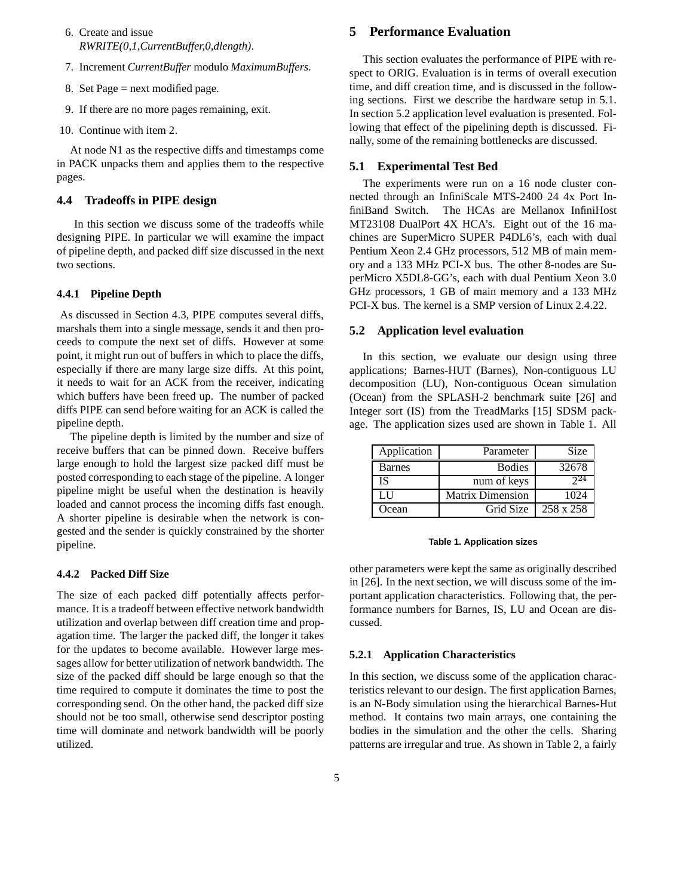- 6. Create and issue *RWRITE(0,1,CurrentBuffer,0,dlength)*.
- 7. Increment *CurrentBuffer* modulo *MaximumBuffers*.
- 8. Set Page = next modified page.
- 9. If there are no more pages remaining, exit.
- 10. Continue with item 2.

At node N1 as the respective diffs and timestamps come in PACK unpacks them and applies them to the respective pages.

## **4.4 Tradeoffs in PIPE design**

In this section we discuss some of the tradeoffs while designing PIPE. In particular we will examine the impact of pipeline depth, and packed diff size discussed in the next two sections.

### **4.4.1 Pipeline Depth**

As discussed in Section 4.3, PIPE computes several diffs, marshals them into a single message, sends it and then proceeds to compute the next set of diffs. However at some point, it might run out of buffers in which to place the diffs, especially if there are many large size diffs. At this point, it needs to wait for an ACK from the receiver, indicating which buffers have been freed up. The number of packed diffs PIPE can send before waiting for an ACK is called the pipeline depth.

The pipeline depth is limited by the number and size of receive buffers that can be pinned down. Receive buffers large enough to hold the largest size packed diff must be posted corresponding to each stage of the pipeline. A longer pipeline might be useful when the destination is heavily loaded and cannot process the incoming diffs fast enough. A shorter pipeline is desirable when the network is congested and the sender is quickly constrained by the shorter pipeline.

#### **4.4.2 Packed Diff Size**

The size of each packed diff potentially affects performance. It is a tradeoff between effective network bandwidth utilization and overlap between diff creation time and propagation time. The larger the packed diff, the longer it takes for the updates to become available. However large messages allow for better utilization of network bandwidth. The size of the packed diff should be large enough so that the time required to compute it dominates the time to post the corresponding send. On the other hand, the packed diff size should not be too small, otherwise send descriptor posting time will dominate and network bandwidth will be poorly utilized.

## **5 Performance Evaluation**

This section evaluates the performance of PIPE with respect to ORIG. Evaluation is in terms of overall execution time, and diff creation time, and is discussed in the following sections. First we describe the hardware setup in 5.1. In section 5.2 application level evaluation is presented. Following that effect of the pipelining depth is discussed. Finally, some of the remaining bottlenecks are discussed.

#### **5.1 Experimental Test Bed**

The experiments were run on a 16 node cluster connected through an InfiniScale MTS-2400 24 4x Port InfiniBand Switch. The HCAs are Mellanox InfiniHost MT23108 DualPort 4X HCA's. Eight out of the 16 machines are SuperMicro SUPER P4DL6's, each with dual Pentium Xeon 2.4 GHz processors, 512 MB of main memory and a 133 MHz PCI-X bus. The other 8-nodes are SuperMicro X5DL8-GG's, each with dual Pentium Xeon 3.0 GHz processors, 1 GB of main memory and a 133 MHz PCI-X bus. The kernel is a SMP version of Linux 2.4.22.

#### **5.2 Application level evaluation**

In this section, we evaluate our design using three applications; Barnes-HUT (Barnes), Non-contiguous LU decomposition (LU), Non-contiguous Ocean simulation (Ocean) from the SPLASH-2 benchmark suite [26] and Integer sort (IS) from the TreadMarks [15] SDSM package. The application sizes used are shown in Table 1. All

| Application | Parameter               | Size      |
|-------------|-------------------------|-----------|
| Barnes      | <b>Bodies</b>           | 32678     |
| IS          | num of keys             |           |
| LН          | <b>Matrix Dimension</b> | 1024      |
| Ocean       | Grid Size               | 258 x 258 |

#### **Table 1. Application sizes**

other parameters were kept the same as originally described in [26]. In the next section, we will discuss some of the important application characteristics. Following that, the performance numbers for Barnes, IS, LU and Ocean are discussed.

## **5.2.1 Application Characteristics**

In this section, we discuss some of the application characteristics relevant to our design. The first application Barnes, is an N-Body simulation using the hierarchical Barnes-Hut method. It contains two main arrays, one containing the bodies in the simulation and the other the cells. Sharing patterns are irregular and true. As shown in Table 2, a fairly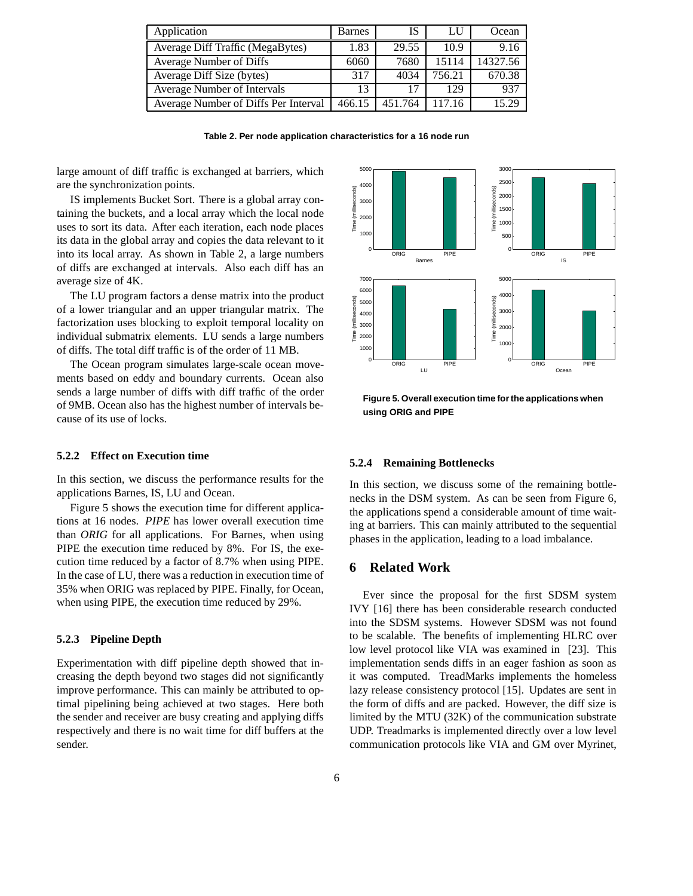| Application                          | Barnes | IS      | LU     | Ocean    |
|--------------------------------------|--------|---------|--------|----------|
| Average Diff Traffic (MegaBytes)     | 1.83   | 29.55   | 10.9   | 9.16     |
| <b>Average Number of Diffs</b>       | 6060   | 7680    | 15114  | 14327.56 |
| Average Diff Size (bytes)            | 317    | 4034    | 756.21 | 670.38   |
| Average Number of Intervals          | 13     | 17      | 129    | 937      |
| Average Number of Diffs Per Interval | 466.15 | 451 764 | 117 16 | 15.29    |

**Table 2. Per node application characteristics for a 16 node run**

large amount of diff traffic is exchanged at barriers, which are the synchronization points.

IS implements Bucket Sort. There is a global array containing the buckets, and a local array which the local node uses to sort its data. After each iteration, each node places its data in the global array and copies the data relevant to it into its local array. As shown in Table 2, a large numbers of diffs are exchanged at intervals. Also each diff has an average size of 4K.

The LU program factors a dense matrix into the product of a lower triangular and an upper triangular matrix. The factorization uses blocking to exploit temporal locality on individual submatrix elements. LU sends a large numbers of diffs. The total diff traffic is of the order of 11 MB.

The Ocean program simulates large-scale ocean movements based on eddy and boundary currents. Ocean also sends a large number of diffs with diff traffic of the order of 9MB. Ocean also has the highest number of intervals because of its use of locks.

#### **5.2.2 Effect on Execution time**

In this section, we discuss the performance results for the applications Barnes, IS, LU and Ocean.

Figure 5 shows the execution time for different applications at 16 nodes. *PIPE* has lower overall execution time than *ORIG* for all applications. For Barnes, when using PIPE the execution time reduced by 8%. For IS, the execution time reduced by a factor of 8.7% when using PIPE. In the case of LU, there was a reduction in execution time of 35% when ORIG was replaced by PIPE. Finally, for Ocean, when using PIPE, the execution time reduced by 29%.

## **5.2.3 Pipeline Depth**

Experimentation with diff pipeline depth showed that increasing the depth beyond two stages did not significantly improve performance. This can mainly be attributed to optimal pipelining being achieved at two stages. Here both the sender and receiver are busy creating and applying diffs respectively and there is no wait time for diff buffers at the sender.



**Figure 5. Overall execution time forthe applications when using ORIG and PIPE**

#### **5.2.4 Remaining Bottlenecks**

In this section, we discuss some of the remaining bottlenecks in the DSM system. As can be seen from Figure 6, the applications spend a considerable amount of time waiting at barriers. This can mainly attributed to the sequential phases in the application, leading to a load imbalance.

## **6 Related Work**

Ever since the proposal for the first SDSM system IVY [16] there has been considerable research conducted into the SDSM systems. However SDSM was not found to be scalable. The benefits of implementing HLRC over low level protocol like VIA was examined in [23]. This implementation sends diffs in an eager fashion as soon as it was computed. TreadMarks implements the homeless lazy release consistency protocol [15]. Updates are sent in the form of diffs and are packed. However, the diff size is limited by the MTU (32K) of the communication substrate UDP. Treadmarks is implemented directly over a low level communication protocols like VIA and GM over Myrinet,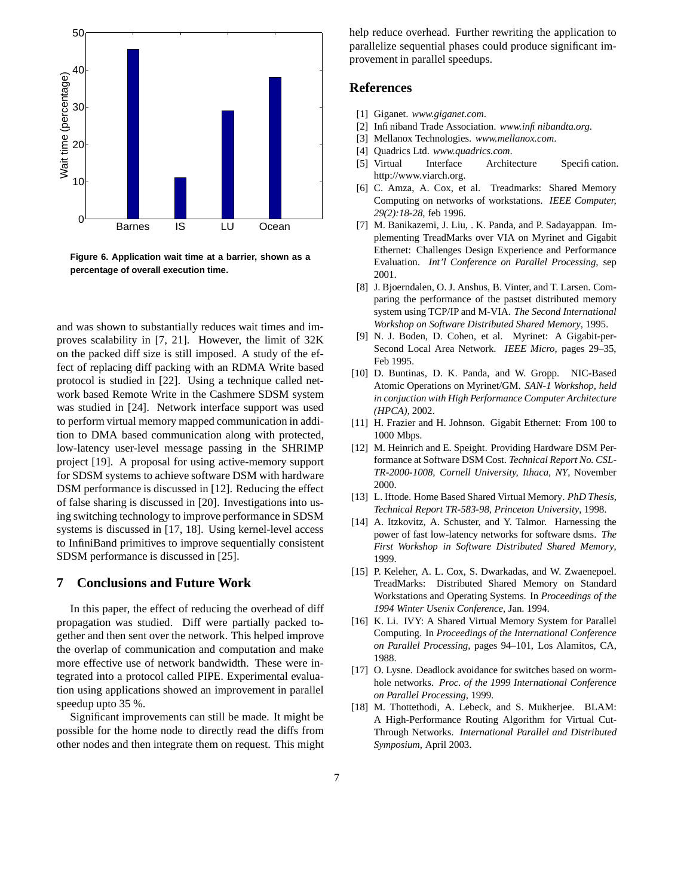

**Figure 6. Application wait time at a barrier, shown as a percentage of overall execution time.**

and was shown to substantially reduces wait times and improves scalability in [7, 21]. However, the limit of 32K on the packed diff size is still imposed. A study of the effect of replacing diff packing with an RDMA Write based protocol is studied in [22]. Using a technique called network based Remote Write in the Cashmere SDSM system was studied in [24]. Network interface support was used to perform virtual memory mapped communication in addition to DMA based communication along with protected, low-latency user-level message passing in the SHRIMP project [19]. A proposal for using active-memory support for SDSM systems to achieve software DSM with hardware DSM performance is discussed in [12]. Reducing the effect of false sharing is discussed in [20]. Investigations into using switching technology to improve performance in SDSM systems is discussed in [17, 18]. Using kernel-level access to InfiniBand primitives to improve sequentially consistent SDSM performance is discussed in [25].

## **7 Conclusions and Future Work**

In this paper, the effect of reducing the overhead of diff propagation was studied. Diff were partially packed together and then sent over the network. This helped improve the overlap of communication and computation and make more effective use of network bandwidth. These were integrated into a protocol called PIPE. Experimental evaluation using applications showed an improvement in parallel speedup upto 35 %.

Significant improvements can still be made. It might be possible for the home node to directly read the diffs from other nodes and then integrate them on request. This might help reduce overhead. Further rewriting the application to parallelize sequential phases could produce significant improvement in parallel speedups.

## **References**

- [1] Giganet. *www.giganet.com*.
- [2] Infiniband Trade Association. *www.infinibandta.org.*
- [3] Mellanox Technologies. *www.mellanox.com*.
- [4] Quadrics Ltd. *www.quadrics.com*.
- [5] Virtual Interface Architecture Specification. http://www.viarch.org.
- [6] C. Amza, A. Cox, et al. Treadmarks: Shared Memory Computing on networks of workstations. *IEEE Computer, 29(2):18-28*, feb 1996.
- [7] M. Banikazemi, J. Liu, . K. Panda, and P. Sadayappan. Implementing TreadMarks over VIA on Myrinet and Gigabit Ethernet: Challenges Design Experience and Performance Evaluation. *Int'l Conference on Parallel Processing*, sep 2001.
- [8] J. Bjoerndalen, O. J. Anshus, B. Vinter, and T. Larsen. Comparing the performance of the pastset distributed memory system using TCP/IP and M-VIA. *The Second International Workshop on Software Distributed Shared Memory*, 1995.
- [9] N. J. Boden, D. Cohen, et al. Myrinet: A Gigabit-per-Second Local Area Network. *IEEE Micro*, pages 29–35, Feb 1995.
- [10] D. Buntinas, D. K. Panda, and W. Gropp. NIC-Based Atomic Operations on Myrinet/GM. *SAN-1 Workshop, held in conjuction with High Performance Computer Architecture (HPCA)*, 2002.
- [11] H. Frazier and H. Johnson. Gigabit Ethernet: From 100 to 1000 Mbps.
- [12] M. Heinrich and E. Speight. Providing Hardware DSM Performance at Software DSM Cost. *Technical Report No. CSL-TR-2000-1008, Cornell University, Ithaca, NY*, November 2000.
- [13] L. Iftode. Home Based Shared Virtual Memory. *PhD Thesis, Technical Report TR-583-98, Princeton University*, 1998.
- [14] A. Itzkovitz, A. Schuster, and Y. Talmor. Harnessing the power of fast low-latency networks for software dsms. *The First Workshop in Software Distributed Shared Memory*, 1999.
- [15] P. Keleher, A. L. Cox, S. Dwarkadas, and W. Zwaenepoel. TreadMarks: Distributed Shared Memory on Standard Workstations and Operating Systems. In *Proceedings of the 1994 Winter Usenix Conference*, Jan. 1994.
- [16] K. Li. IVY: A Shared Virtual Memory System for Parallel Computing. In *Proceedings of the International Conference on Parallel Processing*, pages 94–101, Los Alamitos, CA, 1988.
- [17] O. Lysne. Deadlock avoidance for switches based on wormhole networks. *Proc. of the 1999 International Conference on Parallel Processing*, 1999.
- [18] M. Thottethodi, A. Lebeck, and S. Mukherjee. BLAM: A High-Performance Routing Algorithm for Virtual Cut-Through Networks. *International Parallel and Distributed Symposium*, April 2003.